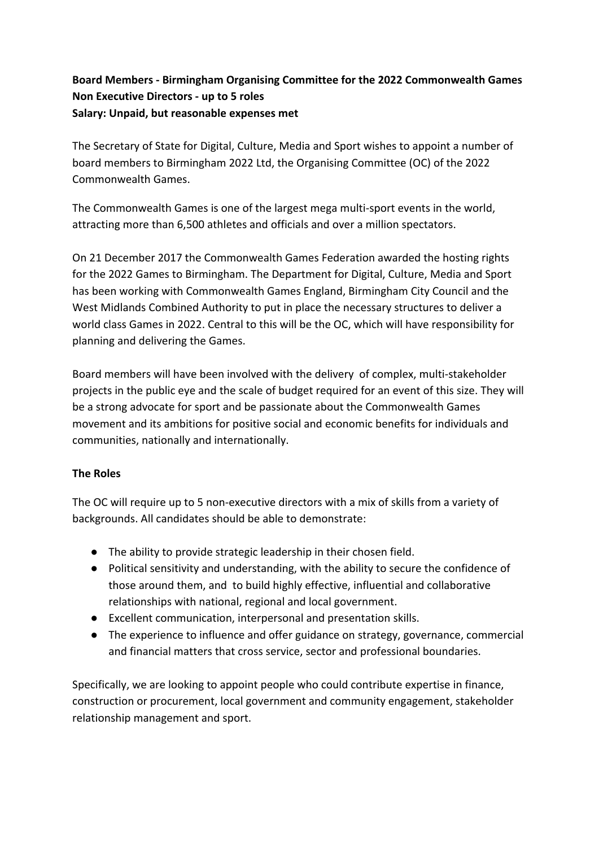# **Board Members - Birmingham Organising Committee for the 2022 Commonwealth Games Non Executive Directors - up to 5 roles Salary: Unpaid, but reasonable expenses met**

The Secretary of State for Digital, Culture, Media and Sport wishes to appoint a number of board members to Birmingham 2022 Ltd, the Organising Committee (OC) of the 2022 Commonwealth Games.

The Commonwealth Games is one of the largest mega multi-sport events in the world, attracting more than 6,500 athletes and officials and over a million spectators.

On 21 December 2017 the Commonwealth Games Federation awarded the hosting rights for the 2022 Games to Birmingham. The Department for Digital, Culture, Media and Sport has been working with Commonwealth Games England, Birmingham City Council and the West Midlands Combined Authority to put in place the necessary structures to deliver a world class Games in 2022. Central to this will be the OC, which will have responsibility for planning and delivering the Games.

Board members will have been involved with the delivery of complex, multi-stakeholder projects in the public eye and the scale of budget required for an event of this size. They will be a strong advocate for sport and be passionate about the Commonwealth Games movement and its ambitions for positive social and economic benefits for individuals and communities, nationally and internationally.

#### **The Roles**

The OC will require up to 5 non-executive directors with a mix of skills from a variety of backgrounds. All candidates should be able to demonstrate:

- The ability to provide strategic leadership in their chosen field.
- Political sensitivity and understanding, with the ability to secure the confidence of those around them, and to build highly effective, influential and collaborative relationships with national, regional and local government.
- Excellent communication, interpersonal and presentation skills.
- The experience to influence and offer guidance on strategy, governance, commercial and financial matters that cross service, sector and professional boundaries.

Specifically, we are looking to appoint people who could contribute expertise in finance, construction or procurement, local government and community engagement, stakeholder relationship management and sport.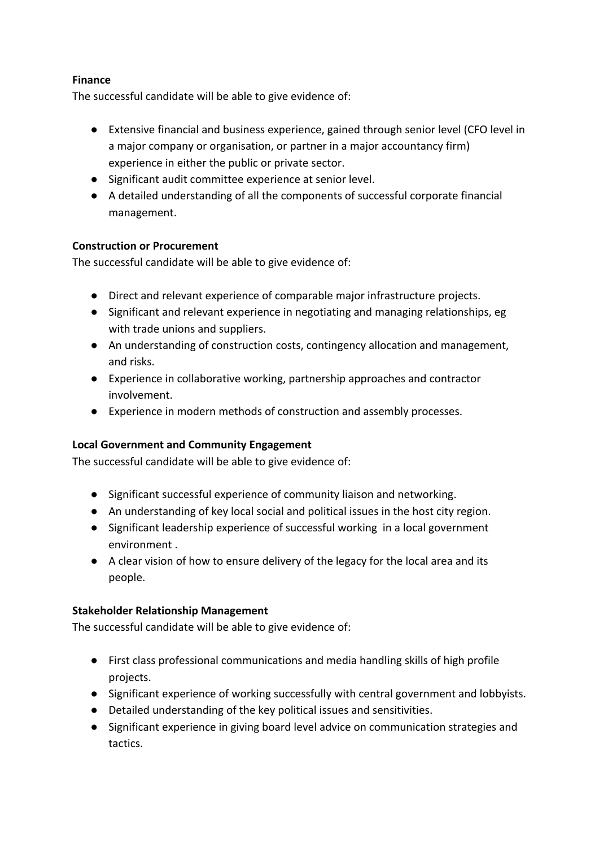## **Finance**

The successful candidate will be able to give evidence of:

- Extensive financial and business experience, gained through senior level (CFO level in a major company or organisation, or partner in a major accountancy firm) experience in either the public or private sector.
- Significant audit committee experience at senior level.
- A detailed understanding of all the components of successful corporate financial management.

## **Construction or Procurement**

The successful candidate will be able to give evidence of:

- Direct and relevant experience of comparable major infrastructure projects.
- Significant and relevant experience in negotiating and managing relationships, eg with trade unions and suppliers.
- An understanding of construction costs, contingency allocation and management, and risks.
- Experience in collaborative working, partnership approaches and contractor involvement.
- Experience in modern methods of construction and assembly processes.

#### **Local Government and Community Engagement**

The successful candidate will be able to give evidence of:

- Significant successful experience of community liaison and networking.
- An understanding of key local social and political issues in the host city region.
- Significant leadership experience of successful working in a local government environment .
- A clear vision of how to ensure delivery of the legacy for the local area and its people.

#### **Stakeholder Relationship Management**

The successful candidate will be able to give evidence of:

- First class professional communications and media handling skills of high profile projects.
- Significant experience of working successfully with central government and lobbyists.
- Detailed understanding of the key political issues and sensitivities.
- Significant experience in giving board level advice on communication strategies and tactics.